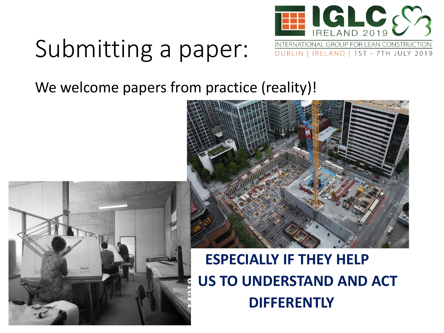

### Submitting a paper:

We welcome papers from practice (reality)!





#### **ESPECIALLY IF THEY HELP US TO UNDERSTAND AND ACT DIFFERENTLY**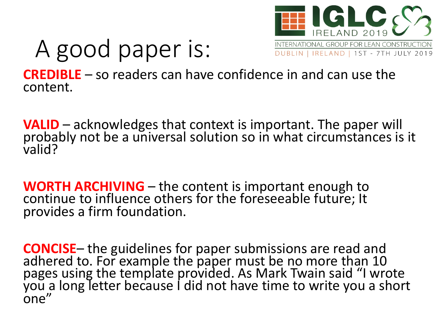

# A good paper is:

**CREDIBLE** – so readers can have confidence in and can use the content.

**VALID** – acknowledges that context is important. The paper will probably not be a universal solution so in what circumstances is it valid?

**WORTH ARCHIVING** – the content is important enough to continue to influence others for the foreseeable future; It provides a firm foundation.

**CONCISE**– the guidelines for paper submissions are read and add add add add and addered to. For example the paper must be no more than 10 pages using the template provided. As Mark Twain said "I wrote you a long letter because I did not have time to write you a short one"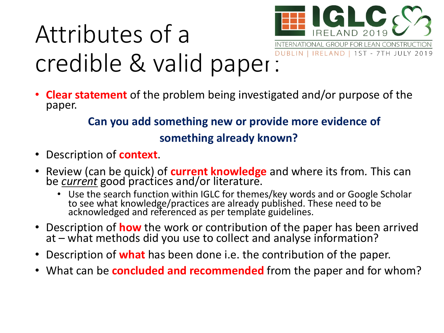

## Attributes of a credible & valid paper:

• **Clear statement** of the problem being investigated and/or purpose of the paper.

#### **Can you add something new or provide more evidence of something already known?**

- Description of **context**.
- Review (can be quick) of **current knowledge** and where its from*.* This can be *current* good practices and/or literature.
	- Use the search function within IGLC for themes/key words and or Google Scholar to see what knowledge/practices are already published. These need to be acknowledged and referenced as per template guidelines.
- Description of **how** the work or contribution of the paper has been arrived at – what methods did you use to collect and analyse information?
- Description of **what** has been done i.e. the contribution of the paper.
- What can be **concluded and recommended** from the paper and for whom?